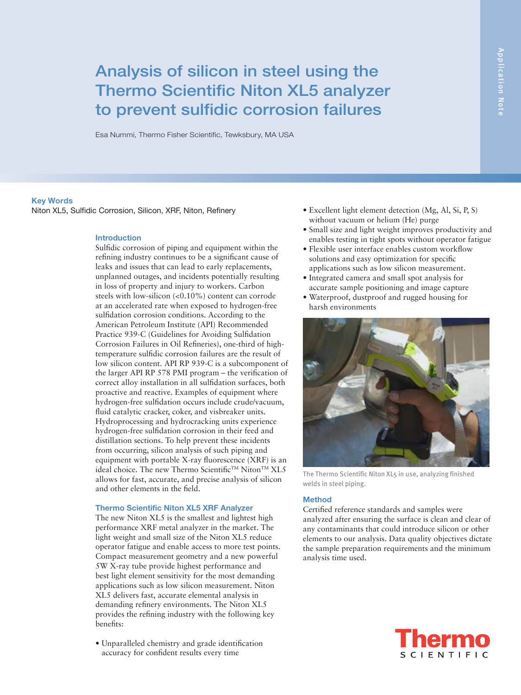# Analysis of silicon in steel using the Thermo Scientific Niton XL5 analyzer to prevent sulfidic corrosion failures

Esa Nummi, Thermo Fisher Scientific, Tewksbury, MA USA

# **Key Words**

Niton XL5, Sulfidic Corrosion, Silicon, XRF, Niton, Refinery

### **Introduction**

Sulfidic corrosion of piping and equipment within the refining industry continues to be a significant cause of leaks and issues that can lead to early replacements, unplanned outages, and incidents potentially resulting in loss of property and injury to workers. Carbon steels with low-silicon (<0.10%) content can corrode at an accelerated rate when exposed to hydrogen-free sulfidation corrosion conditions. According to the American Petroleum Institute (API) Recommended Practice 939-C (Guidelines for Avoiding Sulfidation Corrosion Failures in Oil Refineries), one-third of hightemperature sulfidic corrosion failures are the result of low silicon content. API RP 939-C is a subcomponent of the larger API RP 578 PMI program – the verification of correct alloy installation in all sulfidation surfaces, both proactive and reactive. Examples of equipment where hydrogen-free sulfidation occurs include crude/vacuum, fluid catalytic cracker, coker, and visbreaker units. Hydroprocessing and hydrocracking units experience hydrogen-free sulfidation corrosion in their feed and distillation sections. To help prevent these incidents from occurring, silicon analysis of such piping and equipment with portable X-ray fluorescence (XRF) is an ideal choice. The new Thermo Scientific<sup>™</sup> Niton<sup>™</sup> XL5 allows for fast, accurate, and precise analysis of silicon and other elements in the field.

#### **Thermo Scientific Niton XL5 XRF Analyzer**

The new Niton XL5 is the smallest and lightest high performance XRF metal analyzer in the market. The light weight and small size of the Niton XL5 reduce operator fatigue and enable access to more test points. Compact measurement geometry and a new powerful 5W X-ray tube provide highest performance and best light element sensitivity for the most demanding applications such as low silicon measurement. Niton XL5 delivers fast, accurate elemental analysis in demanding refinery environments. The Niton XL5 provides the refining industry with the following key benefits:

• Unparalleled chemistry and grade identification accuracy for confident results every time

- Excellent light element detection (Mg, Al, Si, P, S) without vacuum or helium (He) purge
- Small size and light weight improves productivity and enables testing in tight spots without operator fatigue
- Flexible user interface enables custom workflow solutions and easy optimization for specific applications such as low silicon measurement.
- Integrated camera and small spot analysis for accurate sample positioning and image capture
- Waterproof, dustproof and rugged housing for harsh environments



The Thermo Scientific Niton XL5 in use, analyzing finished welds in steel piping.

# **Method**

Certified reference standards and samples were analyzed after ensuring the surface is clean and clear of any contaminants that could introduce silicon or other elements to our analysis. Data quality objectives dictate the sample preparation requirements and the minimum analysis time used.